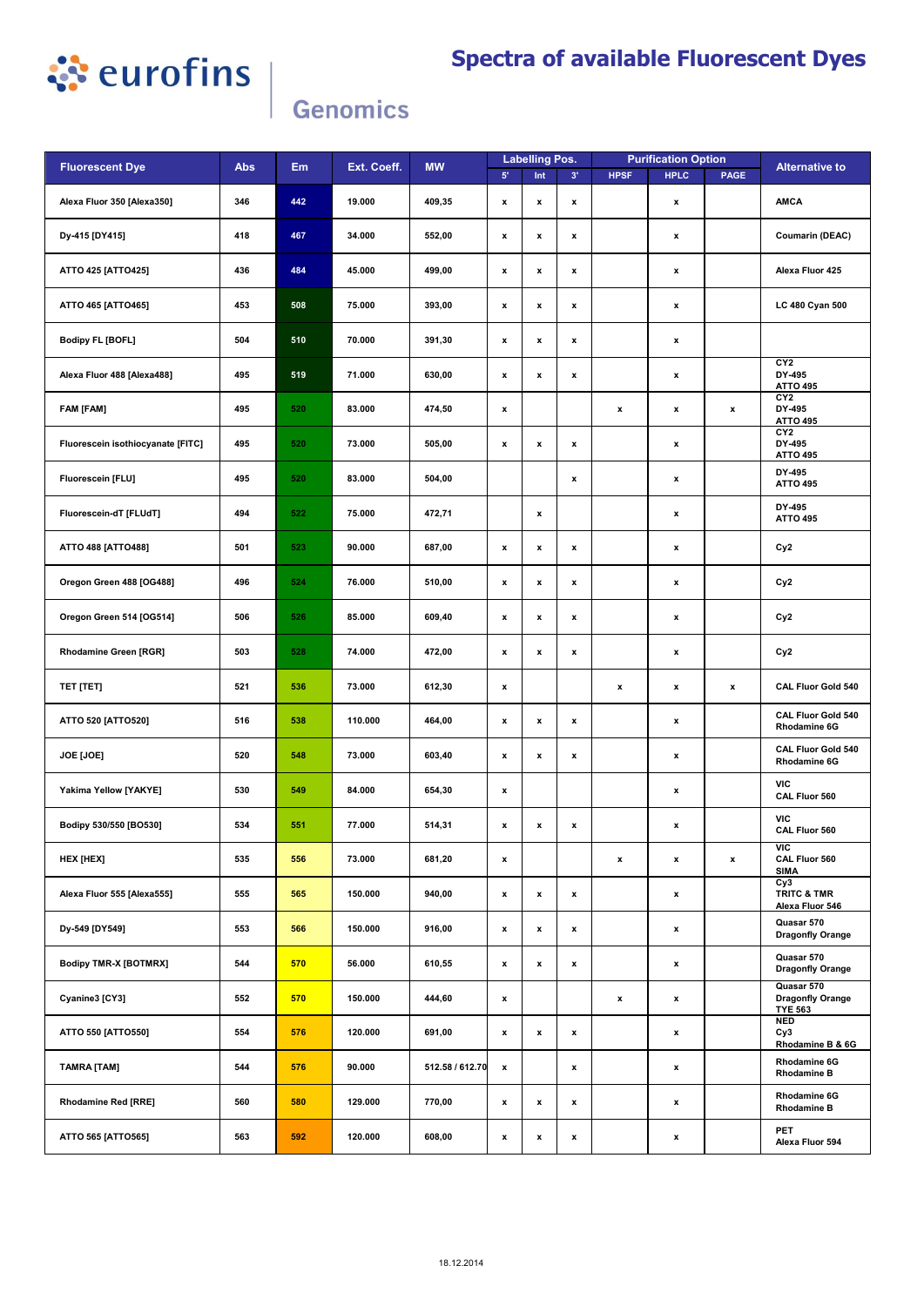

## **Spectra of available Fluorescent Dyes**

## Genomics

| <b>Fluorescent Dye</b>            | <b>Abs</b> | Em  | Ext. Coeff. | <b>MW</b>       | <b>Labelling Pos.</b> |                    |                    |                    | <b>Purification Option</b> |                    | <b>Alternative to</b>                                   |
|-----------------------------------|------------|-----|-------------|-----------------|-----------------------|--------------------|--------------------|--------------------|----------------------------|--------------------|---------------------------------------------------------|
|                                   |            |     |             |                 | $5^{\circ}$           | Int                | 3'                 | <b>HPSF</b>        | <b>HPLC</b>                | <b>PAGE</b>        |                                                         |
| Alexa Fluor 350 [Alexa350]        | 346        | 442 | 19.000      | 409,35          | $\pmb{\mathsf{x}}$    | x                  | $\pmb{\mathsf{x}}$ |                    | $\pmb{\mathsf{x}}$         |                    | <b>AMCA</b>                                             |
| Dy-415 [DY415]                    | 418        | 467 | 34.000      | 552,00          | $\pmb{\mathsf{x}}$    | x                  | $\pmb{\mathsf{x}}$ |                    | x                          |                    | <b>Coumarin (DEAC)</b>                                  |
| ATTO 425 [ATTO425]                | 436        | 484 | 45.000      | 499,00          | $\pmb{\mathsf{x}}$    | x                  | $\pmb{\mathsf{x}}$ |                    | $\pmb{\mathsf{x}}$         |                    | Alexa Fluor 425                                         |
| ATTO 465 [ATTO465]                | 453        | 508 | 75.000      | 393,00          | $\pmb{\mathsf{x}}$    | x                  | $\pmb{\mathsf{x}}$ |                    | x                          |                    | LC 480 Cyan 500                                         |
| <b>Bodipy FL [BOFL]</b>           | 504        | 510 | 70.000      | 391,30          | $\pmb{\mathsf{x}}$    | x                  | $\pmb{\mathsf{x}}$ |                    | x                          |                    |                                                         |
| Alexa Fluor 488 [Alexa488]        | 495        | 519 | 71.000      | 630,00          | $\pmb{\mathsf{x}}$    | x                  | $\pmb{\mathsf{x}}$ |                    | x                          |                    | CY2<br>DY-495<br><b>ATTO 495</b>                        |
| <b>FAM [FAM]</b>                  | 495        | 520 | 83.000      | 474,50          | $\pmb{\mathsf{x}}$    |                    |                    | x                  | x                          | $\pmb{\mathsf{x}}$ | CY2<br>DY-495<br><b>ATTO 495</b>                        |
| Fluorescein isothiocyanate [FITC] | 495        | 520 | 73.000      | 505,00          | x                     | x                  | $\pmb{\mathsf{x}}$ |                    | x                          |                    | CY <sub>2</sub><br>DY-495<br><b>ATTO 495</b>            |
| Fluorescein [FLU]                 | 495        | 520 | 83.000      | 504,00          |                       |                    | $\pmb{\mathsf{x}}$ |                    | x                          |                    | DY-495<br><b>ATTO 495</b>                               |
| Fluorescein-dT [FLUdT]            | 494        | 522 | 75.000      | 472,71          |                       | x                  |                    |                    | x                          |                    | DY-495<br><b>ATTO 495</b>                               |
| ATTO 488 [ATTO488]                | 501        | 523 | 90.000      | 687,00          | $\pmb{\mathsf{x}}$    | x                  | $\pmb{\mathsf{x}}$ |                    | x                          |                    | Cy <sub>2</sub>                                         |
| Oregon Green 488 [OG488]          | 496        | 524 | 76.000      | 510,00          | $\pmb{\mathsf{x}}$    | x                  | $\pmb{\mathsf{x}}$ |                    | $\pmb{\mathsf{x}}$         |                    | Cy <sub>2</sub>                                         |
| Oregon Green 514 [OG514]          | 506        | 526 | 85.000      | 609,40          | $\pmb{\mathsf{x}}$    | x                  | $\pmb{\mathsf{x}}$ |                    | x                          |                    | Cy <sub>2</sub>                                         |
| Rhodamine Green [RGR]             | 503        | 528 | 74.000      | 472,00          | $\pmb{\mathsf{x}}$    | $\pmb{\mathsf{x}}$ | $\pmb{\mathsf{x}}$ |                    | x                          |                    | Cy <sub>2</sub>                                         |
| TET [TET]                         | 521        | 536 | 73.000      | 612,30          | x                     |                    |                    | x                  | x                          | $\pmb{\mathsf{x}}$ | <b>CAL Fluor Gold 540</b>                               |
| ATTO 520 [ATTO520]                | 516        | 538 | 110.000     | 464,00          | x                     | x                  | $\pmb{\mathsf{x}}$ |                    | x                          |                    | <b>CAL Fluor Gold 540</b><br>Rhodamine 6G               |
| JOE [JOE]                         | 520        | 548 | 73.000      | 603,40          | $\pmb{\mathsf{x}}$    | x                  | $\pmb{\mathsf{x}}$ |                    | x                          |                    | <b>CAL Fluor Gold 540</b><br>Rhodamine 6G               |
| Yakima Yellow [YAKYE]             | 530        | 549 | 84.000      | 654,30          | $\pmb{\mathsf{x}}$    |                    |                    |                    | x                          |                    | VIC<br>CAL Fluor 560                                    |
| Bodipy 530/550 [BO530]            | 534        | 551 | 77.000      | 514,31          | $\pmb{\mathsf{x}}$    | x                  | $\pmb{\mathsf{x}}$ |                    | x                          |                    | VIC<br>CAL Fluor 560                                    |
| HEX [HEX]                         | 535        | 556 | 73.000      | 681,20          | $\pmb{\mathsf{x}}$    |                    |                    | $\pmb{\mathsf{x}}$ | x                          | $\pmb{\mathsf{x}}$ | VIC<br>CAL Fluor 560<br><b>SIMA</b>                     |
| Alexa Fluor 555 [Alexa555]        | 555        | 565 | 150.000     | 940,00          | $\pmb{\mathsf{x}}$    | $\pmb{\mathsf{x}}$ | $\pmb{\mathsf{x}}$ |                    | x                          |                    | Cy3<br><b>TRITC &amp; TMR</b><br>Alexa Fluor 546        |
| Dy-549 [DY549]                    | 553        | 566 | 150.000     | 916,00          | $\pmb{\mathsf{x}}$    | x                  | $\pmb{\mathsf{x}}$ |                    | x                          |                    | Quasar 570<br><b>Dragonfly Orange</b>                   |
| <b>Bodipy TMR-X [BOTMRX]</b>      | 544        | 570 | 56.000      | 610,55          | $\pmb{\mathsf{x}}$    | x                  | $\pmb{\mathsf{x}}$ |                    | x                          |                    | Quasar 570<br><b>Dragonfly Orange</b>                   |
| Cyanine3 [CY3]                    | 552        | 570 | 150.000     | 444,60          | x                     |                    |                    | x                  | x                          |                    | Quasar 570<br><b>Dragonfly Orange</b><br><b>TYE 563</b> |
| ATTO 550 [ATTO550]                | 554        | 576 | 120.000     | 691,00          | $\pmb{\mathsf{x}}$    | $\pmb{\mathsf{x}}$ | x                  |                    | x                          |                    | <b>NED</b><br>Cy3<br>Rhodamine B & 6G                   |
| TAMRA [TAM]                       | 544        | 576 | 90.000      | 512.58 / 612.70 | $\pmb{\mathsf{x}}$    |                    | $\pmb{\mathsf{x}}$ |                    | x                          |                    | Rhodamine 6G<br><b>Rhodamine B</b>                      |
| Rhodamine Red [RRE]               | 560        | 580 | 129.000     | 770,00          | x                     | x                  | x                  |                    | x                          |                    | Rhodamine 6G<br><b>Rhodamine B</b>                      |
| ATTO 565 [ATTO565]                | 563        | 592 | 120.000     | 608,00          | $\pmb{\mathsf{x}}$    | x                  | $\pmb{\mathsf{x}}$ |                    | x                          |                    | PET<br>Alexa Fluor 594                                  |